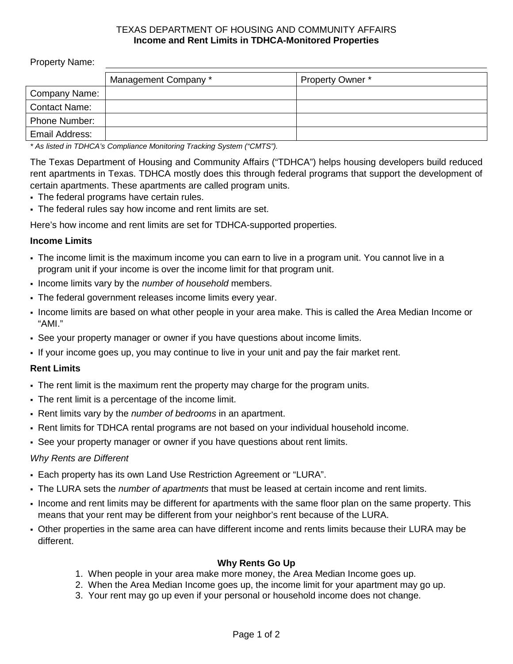### TEXAS DEPARTMENT OF HOUSING AND COMMUNITY AFFAIRS **Income and Rent Limits in TDHCA-Monitored Properties**

Property Name:

|                      | Management Company * | Property Owner * |
|----------------------|----------------------|------------------|
| <b>Company Name:</b> |                      |                  |
| <b>Contact Name:</b> |                      |                  |
| Phone Number:        |                      |                  |
| Email Address:       |                      |                  |

*\* As listed in TDHCA's Compliance Monitoring Tracking System ("CMTS").*

The Texas Department of Housing and Community Affairs ("TDHCA") helps housing developers build reduced rent apartments in Texas. TDHCA mostly does this through federal programs that support the development of certain apartments. These apartments are called program units.

- The federal programs have certain rules.
- The federal rules say how income and rent limits are set.

Here's how income and rent limits are set for TDHCA-supported properties.

### **Income Limits**

- The income limit is the maximum income you can earn to live in a program unit. You cannot live in a program unit if your income is over the income limit for that program unit.
- Income limits vary by the *number of household* members.
- The federal government releases income limits every year.
- Income limits are based on what other people in your area make. This is called the Area Median Income or "AMI."
- See your property manager or owner if you have questions about income limits.
- If your income goes up, you may continue to live in your unit and pay the fair market rent.

### **Rent Limits**

- The rent limit is the maximum rent the property may charge for the program units.
- The rent limit is a percentage of the income limit.
- Rent limits vary by the *number of bedrooms* in an apartment.
- Rent limits for TDHCA rental programs are not based on your individual household income.
- See your property manager or owner if you have questions about rent limits.

### *Why Rents are Different*

- Each property has its own Land Use Restriction Agreement or "LURA".
- The LURA sets the *number of apartments* that must be leased at certain income and rent limits.
- Income and rent limits may be different for apartments with the same floor plan on the same property. This means that your rent may be different from your neighbor's rent because of the LURA.
- Other properties in the same area can have different income and rents limits because their LURA may be different.

### **Why Rents Go Up**

- 1. When people in your area make more money, the Area Median Income goes up.
- 2. When the Area Median Income goes up, the income limit for your apartment may go up.
- 3. Your rent may go up even if your personal or household income does not change.